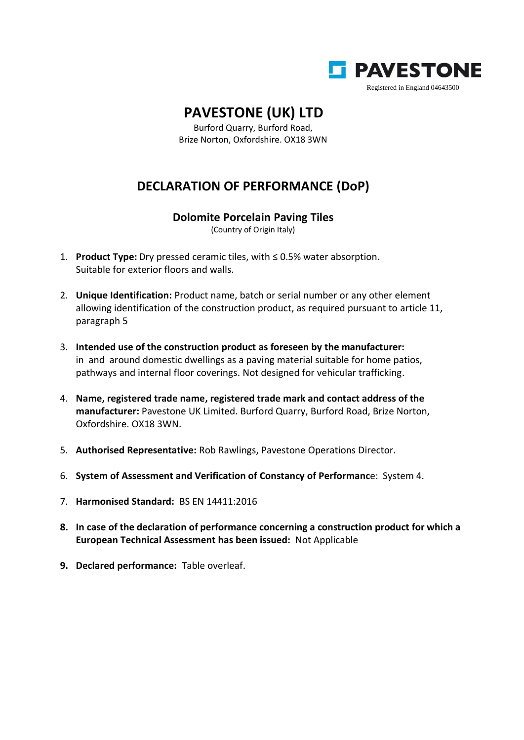

## **PAVESTONE (UK) LTD**

Burford Quarry, Burford Road, Brize Norton, Oxfordshire. OX18 3WN

## **DECLARATION OF PERFORMANCE (DoP)**

## **Dolomite Porcelain Paving Tiles**

(Country of Origin Italy)

- 1. **Product Type:** Dry pressed ceramic tiles, with ≤ 0.5% water absorption. Suitable for exterior floors and walls.
- 2. **Unique Identification:** Product name, batch or serial number or any other element allowing identification of the construction product, as required pursuant to article 11, paragraph 5
- 3. **Intended use of the construction product as foreseen by the manufacturer:** in and around domestic dwellings as a paving material suitable for home patios, pathways and internal floor coverings. Not designed for vehicular trafficking.
- 4. **Name, registered trade name, registered trade mark and contact address of the manufacturer:** Pavestone UK Limited. Burford Quarry, Burford Road, Brize Norton, Oxfordshire. OX18 3WN.
- 5. **Authorised Representative:** Rob Rawlings, Pavestone Operations Director.
- 6. **System of Assessment and Verification of Constancy of Performanc**e: System 4.
- 7. **Harmonised Standard:** BS EN 14411:2016
- **8. In case of the declaration of performance concerning a construction product for which a European Technical Assessment has been issued:** Not Applicable
- **9. Declared performance:** Table overleaf.